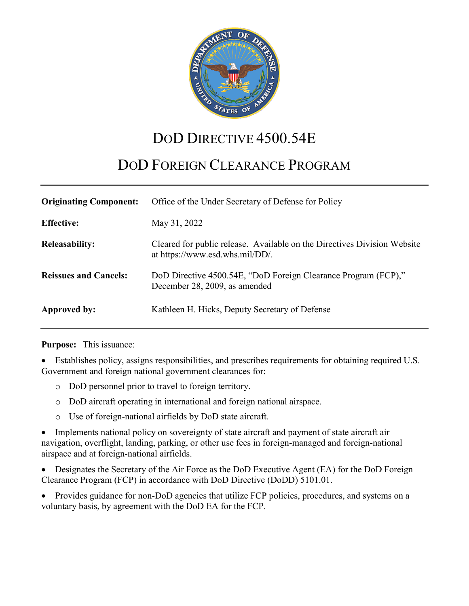

# DOD DIRECTIVE 4500.54E

# DOD FOREIGN CLEARANCE PROGRAM

| <b>Originating Component:</b> | Office of the Under Secretary of Defense for Policy                                                         |
|-------------------------------|-------------------------------------------------------------------------------------------------------------|
| <b>Effective:</b>             | May 31, 2022                                                                                                |
| <b>Releasability:</b>         | Cleared for public release. Available on the Directives Division Website<br>at https://www.esd.whs.mil/DD/. |
| <b>Reissues and Cancels:</b>  | DoD Directive 4500.54E, "DoD Foreign Clearance Program (FCP),"<br>December 28, 2009, as amended             |
| Approved by:                  | Kathleen H. Hicks, Deputy Secretary of Defense                                                              |

**Purpose:** This issuance:

• Establishes policy, assigns responsibilities, and prescribes requirements for obtaining required U.S. Government and foreign national government clearances for:

- o DoD personnel prior to travel to foreign territory.
- o DoD aircraft operating in international and foreign national airspace.
- o Use of foreign-national airfields by DoD state aircraft.

• Implements national policy on sovereignty of state aircraft and payment of state aircraft air navigation, overflight, landing, parking, or other use fees in foreign-managed and foreign-national airspace and at foreign-national airfields.

• Designates the Secretary of the Air Force as the DoD Executive Agent (EA) for the DoD Foreign Clearance Program (FCP) in accordance with DoD Directive (DoDD) 5101.01.

• Provides guidance for non-DoD agencies that utilize FCP policies, procedures, and systems on a voluntary basis, by agreement with the DoD EA for the FCP.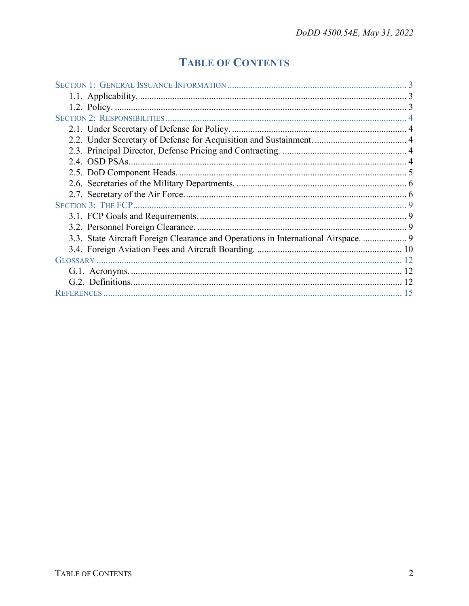## **TABLE OF CONTENTS**

| 3.3. State Aircraft Foreign Clearance and Operations in International Airspace.  9 |  |
|------------------------------------------------------------------------------------|--|
|                                                                                    |  |
|                                                                                    |  |
|                                                                                    |  |
|                                                                                    |  |
|                                                                                    |  |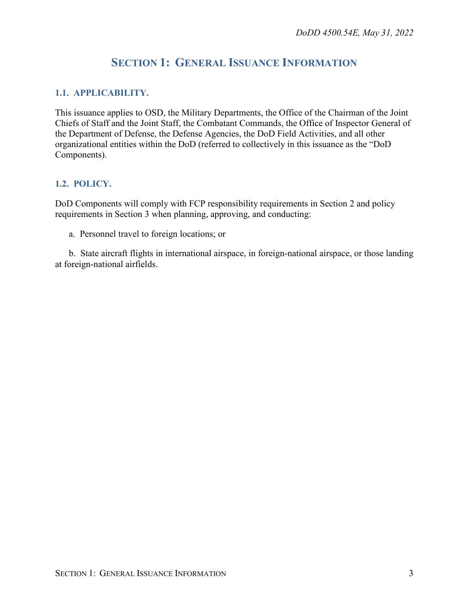## **SECTION 1: GENERAL ISSUANCE INFORMATION**

#### <span id="page-2-1"></span><span id="page-2-0"></span>**1.1. APPLICABILITY.**

This issuance applies to OSD, the Military Departments, the Office of the Chairman of the Joint Chiefs of Staff and the Joint Staff, the Combatant Commands, the Office of Inspector General of the Department of Defense, the Defense Agencies, the DoD Field Activities, and all other organizational entities within the DoD (referred to collectively in this issuance as the "DoD Components).

#### <span id="page-2-2"></span>**1.2. POLICY.**

DoD Components will comply with FCP responsibility requirements in Section 2 and policy requirements in Section 3 when planning, approving, and conducting:

a. Personnel travel to foreign locations; or

b. State aircraft flights in international airspace, in foreign-national airspace, or those landing at foreign-national airfields.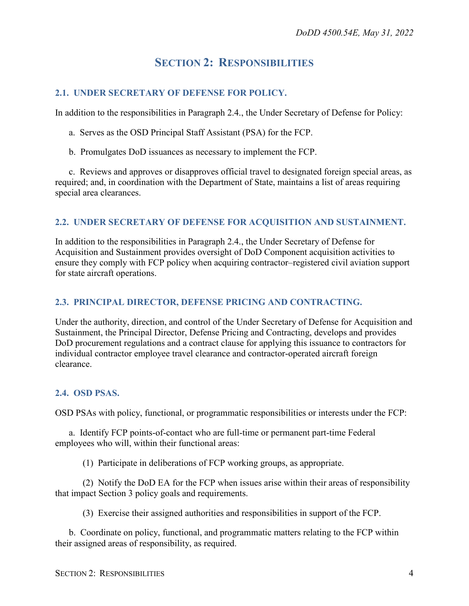### **SECTION 2: RESPONSIBILITIES**

#### <span id="page-3-1"></span><span id="page-3-0"></span>**2.1. UNDER SECRETARY OF DEFENSE FOR POLICY.**

In addition to the responsibilities in Paragraph 2.4., the Under Secretary of Defense for Policy:

- a. Serves as the OSD Principal Staff Assistant (PSA) for the FCP.
- b. Promulgates DoD issuances as necessary to implement the FCP.

c. Reviews and approves or disapproves official travel to designated foreign special areas, as required; and, in coordination with the Department of State, maintains a list of areas requiring special area clearances.

#### <span id="page-3-2"></span>**2.2. UNDER SECRETARY OF DEFENSE FOR ACQUISITION AND SUSTAINMENT.**

In addition to the responsibilities in Paragraph 2.4., the Under Secretary of Defense for Acquisition and Sustainment provides oversight of DoD Component acquisition activities to ensure they comply with FCP policy when acquiring contractor–registered civil aviation support for state aircraft operations.

#### <span id="page-3-3"></span>**2.3. PRINCIPAL DIRECTOR, DEFENSE PRICING AND CONTRACTING.**

Under the authority, direction, and control of the Under Secretary of Defense for Acquisition and Sustainment, the Principal Director, Defense Pricing and Contracting, develops and provides DoD procurement regulations and a contract clause for applying this issuance to contractors for individual contractor employee travel clearance and contractor-operated aircraft foreign clearance.

#### <span id="page-3-4"></span>**2.4. OSD PSAS.**

OSD PSAs with policy, functional, or programmatic responsibilities or interests under the FCP:

a. Identify FCP points-of-contact who are full-time or permanent part-time Federal employees who will, within their functional areas:

(1) Participate in deliberations of FCP working groups, as appropriate.

(2) Notify the DoD EA for the FCP when issues arise within their areas of responsibility that impact Section 3 policy goals and requirements.

(3) Exercise their assigned authorities and responsibilities in support of the FCP.

b. Coordinate on policy, functional, and programmatic matters relating to the FCP within their assigned areas of responsibility, as required.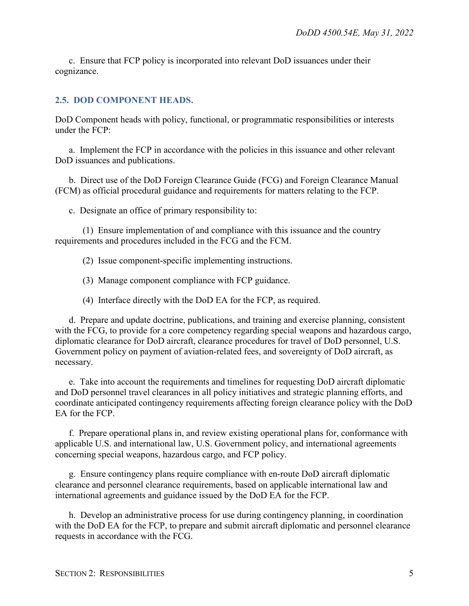c. Ensure that FCP policy is incorporated into relevant DoD issuances under their cognizance.

#### <span id="page-4-0"></span>**2.5. DOD COMPONENT HEADS.**

DoD Component heads with policy, functional, or programmatic responsibilities or interests under the FCP:

a. Implement the FCP in accordance with the policies in this issuance and other relevant DoD issuances and publications.

b. Direct use of the DoD Foreign Clearance Guide (FCG) and Foreign Clearance Manual (FCM) as official procedural guidance and requirements for matters relating to the FCP.

c. Designate an office of primary responsibility to:

(1) Ensure implementation of and compliance with this issuance and the country requirements and procedures included in the FCG and the FCM.

(2) Issue component-specific implementing instructions.

(3) Manage component compliance with FCP guidance.

(4) Interface directly with the DoD EA for the FCP, as required.

d. Prepare and update doctrine, publications, and training and exercise planning, consistent with the FCG, to provide for a core competency regarding special weapons and hazardous cargo, diplomatic clearance for DoD aircraft, clearance procedures for travel of DoD personnel, U.S. Government policy on payment of aviation-related fees, and sovereignty of DoD aircraft, as necessary.

e. Take into account the requirements and timelines for requesting DoD aircraft diplomatic and DoD personnel travel clearances in all policy initiatives and strategic planning efforts, and coordinate anticipated contingency requirements affecting foreign clearance policy with the DoD EA for the FCP.

f. Prepare operational plans in, and review existing operational plans for, conformance with applicable U.S. and international law, U.S. Government policy, and international agreements concerning special weapons, hazardous cargo, and FCP policy.

g. Ensure contingency plans require compliance with en-route DoD aircraft diplomatic clearance and personnel clearance requirements, based on applicable international law and international agreements and guidance issued by the DoD EA for the FCP.

h. Develop an administrative process for use during contingency planning, in coordination with the DoD EA for the FCP, to prepare and submit aircraft diplomatic and personnel clearance requests in accordance with the FCG.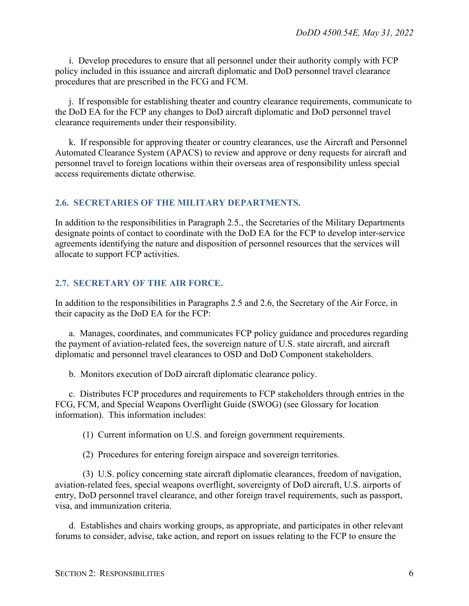i. Develop procedures to ensure that all personnel under their authority comply with FCP policy included in this issuance and aircraft diplomatic and DoD personnel travel clearance procedures that are prescribed in the FCG and FCM.

j. If responsible for establishing theater and country clearance requirements, communicate to the DoD EA for the FCP any changes to DoD aircraft diplomatic and DoD personnel travel clearance requirements under their responsibility.

k. If responsible for approving theater or country clearances, use the Aircraft and Personnel Automated Clearance System (APACS) to review and approve or deny requests for aircraft and personnel travel to foreign locations within their overseas area of responsibility unless special access requirements dictate otherwise.

#### <span id="page-5-0"></span>**2.6. SECRETARIES OF THE MILITARY DEPARTMENTS.**

In addition to the responsibilities in Paragraph 2.5., the Secretaries of the Military Departments designate points of contact to coordinate with the DoD EA for the FCP to develop inter-service agreements identifying the nature and disposition of personnel resources that the services will allocate to support FCP activities.

#### <span id="page-5-1"></span>**2.7. SECRETARY OF THE AIR FORCE.**

In addition to the responsibilities in Paragraphs 2.5 and 2.6, the Secretary of the Air Force, in their capacity as the DoD EA for the FCP:

a. Manages, coordinates, and communicates FCP policy guidance and procedures regarding the payment of aviation-related fees, the sovereign nature of U.S. state aircraft, and aircraft diplomatic and personnel travel clearances to OSD and DoD Component stakeholders.

b. Monitors execution of DoD aircraft diplomatic clearance policy.

c. Distributes FCP procedures and requirements to FCP stakeholders through entries in the FCG, FCM, and Special Weapons Overflight Guide (SWOG) (see Glossary for location information). This information includes:

(1) Current information on U.S. and foreign government requirements.

(2) Procedures for entering foreign airspace and sovereign territories.

(3) U.S. policy concerning state aircraft diplomatic clearances, freedom of navigation, aviation-related fees, special weapons overflight, sovereignty of DoD aircraft, U.S. airports of entry, DoD personnel travel clearance, and other foreign travel requirements, such as passport, visa, and immunization criteria.

d. Establishes and chairs working groups, as appropriate, and participates in other relevant forums to consider, advise, take action, and report on issues relating to the FCP to ensure the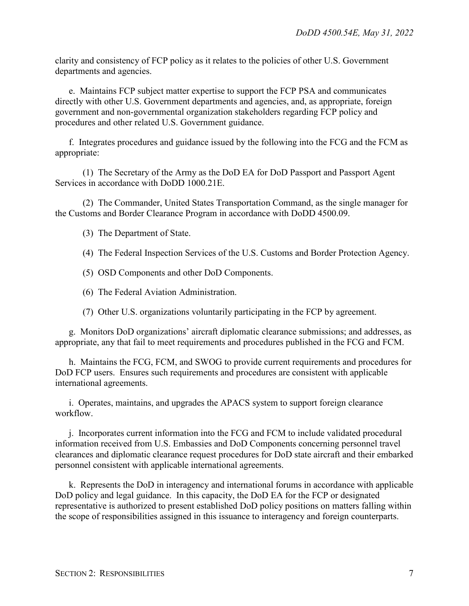clarity and consistency of FCP policy as it relates to the policies of other U.S. Government departments and agencies.

e. Maintains FCP subject matter expertise to support the FCP PSA and communicates directly with other U.S. Government departments and agencies, and, as appropriate, foreign government and non-governmental organization stakeholders regarding FCP policy and procedures and other related U.S. Government guidance.

f. Integrates procedures and guidance issued by the following into the FCG and the FCM as appropriate:

(1) The Secretary of the Army as the DoD EA for DoD Passport and Passport Agent Services in accordance with DoDD 1000.21E.

(2) The Commander, United States Transportation Command, as the single manager for the Customs and Border Clearance Program in accordance with DoDD 4500.09.

(3) The Department of State.

(4) The Federal Inspection Services of the U.S. Customs and Border Protection Agency.

- (5) OSD Components and other DoD Components.
- (6) The Federal Aviation Administration.
- (7) Other U.S. organizations voluntarily participating in the FCP by agreement.

g. Monitors DoD organizations' aircraft diplomatic clearance submissions; and addresses, as appropriate, any that fail to meet requirements and procedures published in the FCG and FCM.

h. Maintains the FCG, FCM, and SWOG to provide current requirements and procedures for DoD FCP users. Ensures such requirements and procedures are consistent with applicable international agreements.

i. Operates, maintains, and upgrades the APACS system to support foreign clearance workflow.

j. Incorporates current information into the FCG and FCM to include validated procedural information received from U.S. Embassies and DoD Components concerning personnel travel clearances and diplomatic clearance request procedures for DoD state aircraft and their embarked personnel consistent with applicable international agreements.

k. Represents the DoD in interagency and international forums in accordance with applicable DoD policy and legal guidance. In this capacity, the DoD EA for the FCP or designated representative is authorized to present established DoD policy positions on matters falling within the scope of responsibilities assigned in this issuance to interagency and foreign counterparts.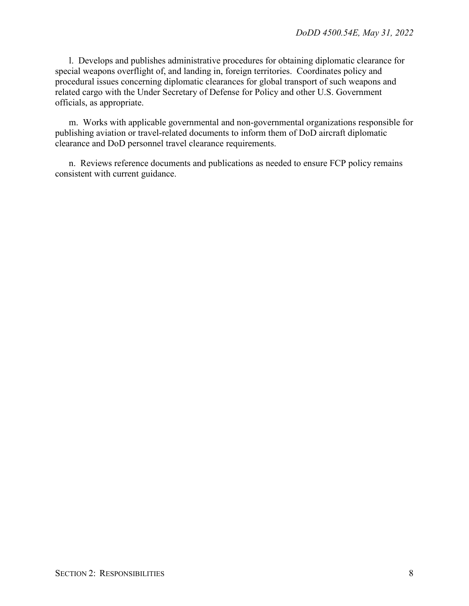l. Develops and publishes administrative procedures for obtaining diplomatic clearance for special weapons overflight of, and landing in, foreign territories. Coordinates policy and procedural issues concerning diplomatic clearances for global transport of such weapons and related cargo with the Under Secretary of Defense for Policy and other U.S. Government officials, as appropriate.

m. Works with applicable governmental and non-governmental organizations responsible for publishing aviation or travel-related documents to inform them of DoD aircraft diplomatic clearance and DoD personnel travel clearance requirements.

n. Reviews reference documents and publications as needed to ensure FCP policy remains consistent with current guidance.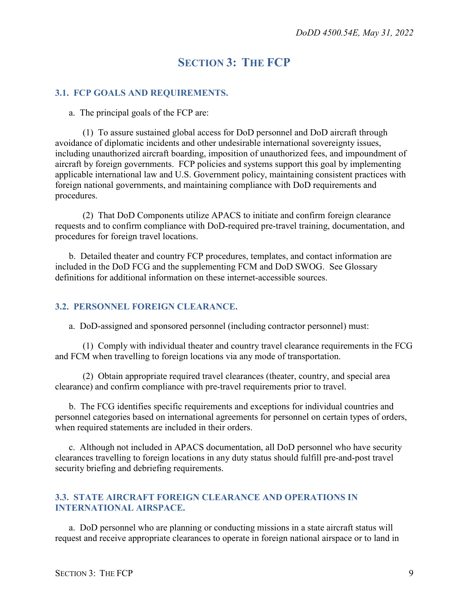## **SECTION 3: THE FCP**

#### <span id="page-8-1"></span><span id="page-8-0"></span>**3.1. FCP GOALS AND REQUIREMENTS.**

a. The principal goals of the FCP are:

(1) To assure sustained global access for DoD personnel and DoD aircraft through avoidance of diplomatic incidents and other undesirable international sovereignty issues, including unauthorized aircraft boarding, imposition of unauthorized fees, and impoundment of aircraft by foreign governments. FCP policies and systems support this goal by implementing applicable international law and U.S. Government policy, maintaining consistent practices with foreign national governments, and maintaining compliance with DoD requirements and procedures.

(2) That DoD Components utilize APACS to initiate and confirm foreign clearance requests and to confirm compliance with DoD-required pre-travel training, documentation, and procedures for foreign travel locations.

b. Detailed theater and country FCP procedures, templates, and contact information are included in the DoD FCG and the supplementing FCM and DoD SWOG. See Glossary definitions for additional information on these internet-accessible sources.

#### <span id="page-8-2"></span>**3.2. PERSONNEL FOREIGN CLEARANCE.**

a. DoD-assigned and sponsored personnel (including contractor personnel) must:

(1) Comply with individual theater and country travel clearance requirements in the FCG and FCM when travelling to foreign locations via any mode of transportation.

(2) Obtain appropriate required travel clearances (theater, country, and special area clearance) and confirm compliance with pre-travel requirements prior to travel.

b. The FCG identifies specific requirements and exceptions for individual countries and personnel categories based on international agreements for personnel on certain types of orders, when required statements are included in their orders.

c. Although not included in APACS documentation, all DoD personnel who have security clearances travelling to foreign locations in any duty status should fulfill pre-and-post travel security briefing and debriefing requirements.

#### <span id="page-8-3"></span>**3.3. STATE AIRCRAFT FOREIGN CLEARANCE AND OPERATIONS IN INTERNATIONAL AIRSPACE.**

a. DoD personnel who are planning or conducting missions in a state aircraft status will request and receive appropriate clearances to operate in foreign national airspace or to land in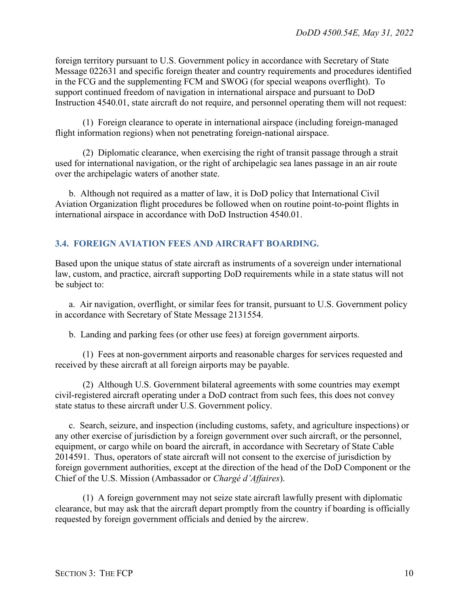foreign territory pursuant to U.S. Government policy in accordance with Secretary of State Message 022631 and specific foreign theater and country requirements and procedures identified in the FCG and the supplementing FCM and SWOG (for special weapons overflight). To support continued freedom of navigation in international airspace and pursuant to DoD Instruction 4540.01, state aircraft do not require, and personnel operating them will not request:

(1) Foreign clearance to operate in international airspace (including foreign-managed flight information regions) when not penetrating foreign-national airspace.

(2) Diplomatic clearance, when exercising the right of transit passage through a strait used for international navigation, or the right of archipelagic sea lanes passage in an air route over the archipelagic waters of another state.

b. Although not required as a matter of law, it is DoD policy that International Civil Aviation Organization flight procedures be followed when on routine point-to-point flights in international airspace in accordance with DoD Instruction 4540.01.

#### <span id="page-9-0"></span>**3.4. FOREIGN AVIATION FEES AND AIRCRAFT BOARDING.**

Based upon the unique status of state aircraft as instruments of a sovereign under international law, custom, and practice, aircraft supporting DoD requirements while in a state status will not be subject to:

a. Air navigation, overflight, or similar fees for transit, pursuant to U.S. Government policy in accordance with Secretary of State Message 2131554.

b. Landing and parking fees (or other use fees) at foreign government airports.

(1) Fees at non-government airports and reasonable charges for services requested and received by these aircraft at all foreign airports may be payable.

(2) Although U.S. Government bilateral agreements with some countries may exempt civil-registered aircraft operating under a DoD contract from such fees, this does not convey state status to these aircraft under U.S. Government policy.

c. Search, seizure, and inspection (including customs, safety, and agriculture inspections) or any other exercise of jurisdiction by a foreign government over such aircraft, or the personnel, equipment, or cargo while on board the aircraft, in accordance with Secretary of State Cable 2014591. Thus, operators of state aircraft will not consent to the exercise of jurisdiction by foreign government authorities, except at the direction of the head of the DoD Component or the Chief of the U.S. Mission (Ambassador or *Chargé d'Affaires*).

(1) A foreign government may not seize state aircraft lawfully present with diplomatic clearance, but may ask that the aircraft depart promptly from the country if boarding is officially requested by foreign government officials and denied by the aircrew.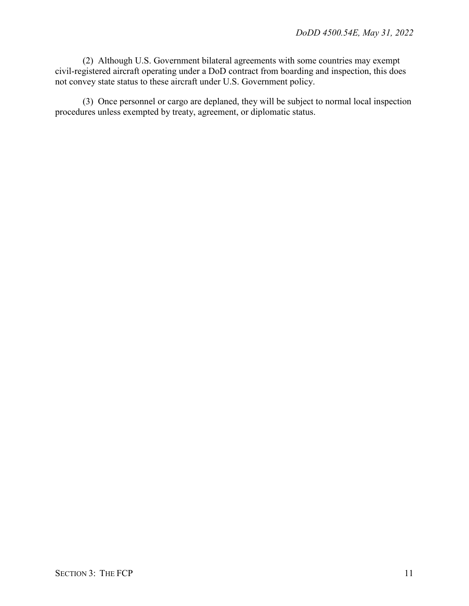(2) Although U.S. Government bilateral agreements with some countries may exempt civil-registered aircraft operating under a DoD contract from boarding and inspection, this does not convey state status to these aircraft under U.S. Government policy.

(3) Once personnel or cargo are deplaned, they will be subject to normal local inspection procedures unless exempted by treaty, agreement, or diplomatic status.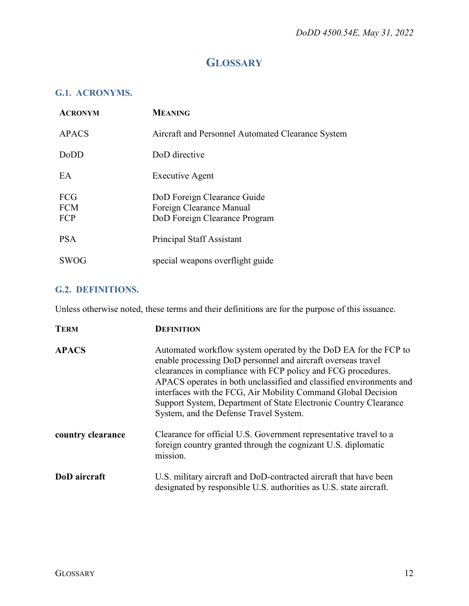## **GLOSSARY**

#### <span id="page-11-1"></span><span id="page-11-0"></span>**G.1. ACRONYMS.**

| <b>ACRONYM</b>                  | <b>MEANING</b>                                                                           |
|---------------------------------|------------------------------------------------------------------------------------------|
| <b>APACS</b>                    | Aircraft and Personnel Automated Clearance System                                        |
| <b>DoDD</b>                     | DoD directive                                                                            |
| EA                              | Executive Agent                                                                          |
| <b>FCG</b><br><b>FCM</b><br>FCP | DoD Foreign Clearance Guide<br>Foreign Clearance Manual<br>DoD Foreign Clearance Program |
| <b>PSA</b>                      | Principal Staff Assistant                                                                |
| <b>SWOG</b>                     | special weapons overflight guide                                                         |

#### <span id="page-11-2"></span>**G.2. DEFINITIONS.**

Unless otherwise noted, these terms and their definitions are for the purpose of this issuance.

| <b>TERM</b>         | <b>DEFINITION</b>                                                                                                                                                                                                                                                                                                                                                                                                                                     |
|---------------------|-------------------------------------------------------------------------------------------------------------------------------------------------------------------------------------------------------------------------------------------------------------------------------------------------------------------------------------------------------------------------------------------------------------------------------------------------------|
| <b>APACS</b>        | Automated workflow system operated by the DoD EA for the FCP to<br>enable processing DoD personnel and aircraft overseas travel<br>clearances in compliance with FCP policy and FCG procedures.<br>APACS operates in both unclassified and classified environments and<br>interfaces with the FCG, Air Mobility Command Global Decision<br>Support System, Department of State Electronic Country Clearance<br>System, and the Defense Travel System. |
| country clearance   | Clearance for official U.S. Government representative travel to a<br>foreign country granted through the cognizant U.S. diplomatic<br>mission.                                                                                                                                                                                                                                                                                                        |
| <b>DoD</b> aircraft | U.S. military aircraft and DoD-contracted aircraft that have been<br>designated by responsible U.S. authorities as U.S. state aircraft.                                                                                                                                                                                                                                                                                                               |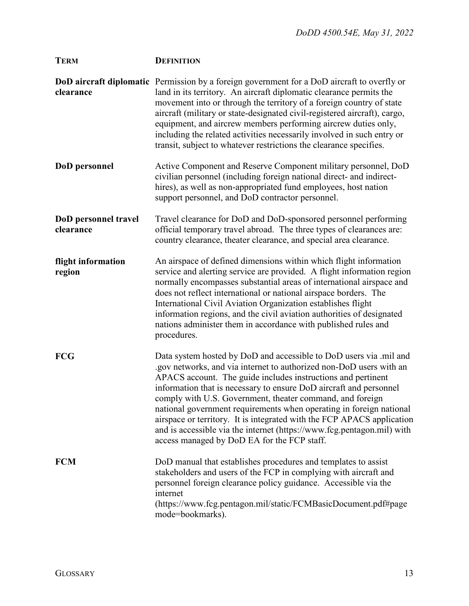| <b>TERM</b>                       | <b>DEFINITION</b>                                                                                                                                                                                                                                                                                                                                                                                                                                                                                                                                                                                                      |
|-----------------------------------|------------------------------------------------------------------------------------------------------------------------------------------------------------------------------------------------------------------------------------------------------------------------------------------------------------------------------------------------------------------------------------------------------------------------------------------------------------------------------------------------------------------------------------------------------------------------------------------------------------------------|
| clearance                         | <b>DoD aircraft diplomatic</b> Permission by a foreign government for a DoD aircraft to overfly or<br>land in its territory. An aircraft diplomatic clearance permits the<br>movement into or through the territory of a foreign country of state<br>aircraft (military or state-designated civil-registered aircraft), cargo,<br>equipment, and aircrew members performing aircrew duties only,<br>including the related activities necessarily involved in such entry or<br>transit, subject to whatever restrictions the clearance specifies.                                                                       |
| DoD personnel                     | Active Component and Reserve Component military personnel, DoD<br>civilian personnel (including foreign national direct- and indirect-<br>hires), as well as non-appropriated fund employees, host nation<br>support personnel, and DoD contractor personnel.                                                                                                                                                                                                                                                                                                                                                          |
| DoD personnel travel<br>clearance | Travel clearance for DoD and DoD-sponsored personnel performing<br>official temporary travel abroad. The three types of clearances are:<br>country clearance, theater clearance, and special area clearance.                                                                                                                                                                                                                                                                                                                                                                                                           |
| flight information<br>region      | An airspace of defined dimensions within which flight information<br>service and alerting service are provided. A flight information region<br>normally encompasses substantial areas of international airspace and<br>does not reflect international or national airspace borders. The<br>International Civil Aviation Organization establishes flight<br>information regions, and the civil aviation authorities of designated<br>nations administer them in accordance with published rules and<br>procedures.                                                                                                      |
| <b>FCG</b>                        | Data system hosted by DoD and accessible to DoD users via .mil and<br>.gov networks, and via internet to authorized non-DoD users with an<br>APACS account. The guide includes instructions and pertinent<br>information that is necessary to ensure DoD aircraft and personnel<br>comply with U.S. Government, theater command, and foreign<br>national government requirements when operating in foreign national<br>airspace or territory. It is integrated with the FCP APACS application<br>and is accessible via the internet (https://www.fcg.pentagon.mil) with<br>access managed by DoD EA for the FCP staff. |
| <b>FCM</b>                        | DoD manual that establishes procedures and templates to assist<br>stakeholders and users of the FCP in complying with aircraft and<br>personnel foreign clearance policy guidance. Accessible via the<br>internet<br>(https://www.fcg.pentagon.mil/static/FCMBasicDocument.pdf#page<br>mode=bookmarks).                                                                                                                                                                                                                                                                                                                |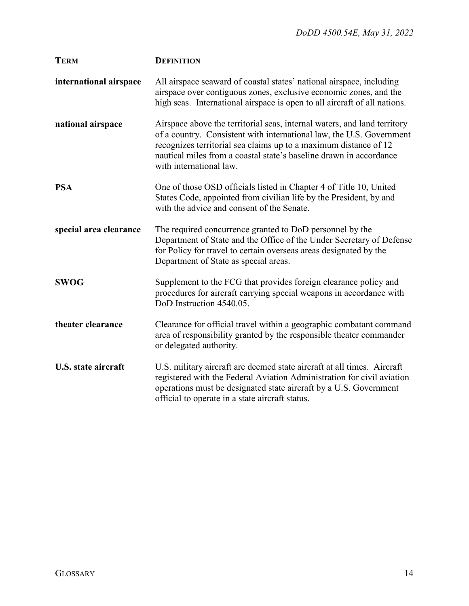| <b>TERM</b>            | <b>DEFINITION</b>                                                                                                                                                                                                                                                                                                     |
|------------------------|-----------------------------------------------------------------------------------------------------------------------------------------------------------------------------------------------------------------------------------------------------------------------------------------------------------------------|
| international airspace | All airspace seaward of coastal states' national airspace, including<br>airspace over contiguous zones, exclusive economic zones, and the<br>high seas. International airspace is open to all aircraft of all nations.                                                                                                |
| national airspace      | Airspace above the territorial seas, internal waters, and land territory<br>of a country. Consistent with international law, the U.S. Government<br>recognizes territorial sea claims up to a maximum distance of 12<br>nautical miles from a coastal state's baseline drawn in accordance<br>with international law. |
| <b>PSA</b>             | One of those OSD officials listed in Chapter 4 of Title 10, United<br>States Code, appointed from civilian life by the President, by and<br>with the advice and consent of the Senate.                                                                                                                                |
| special area clearance | The required concurrence granted to DoD personnel by the<br>Department of State and the Office of the Under Secretary of Defense<br>for Policy for travel to certain overseas areas designated by the<br>Department of State as special areas.                                                                        |
| <b>SWOG</b>            | Supplement to the FCG that provides foreign clearance policy and<br>procedures for aircraft carrying special weapons in accordance with<br>DoD Instruction 4540.05.                                                                                                                                                   |
| theater clearance      | Clearance for official travel within a geographic combatant command<br>area of responsibility granted by the responsible theater commander<br>or delegated authority.                                                                                                                                                 |
| U.S. state aircraft    | U.S. military aircraft are deemed state aircraft at all times. Aircraft<br>registered with the Federal Aviation Administration for civil aviation<br>operations must be designated state aircraft by a U.S. Government<br>official to operate in a state aircraft status.                                             |